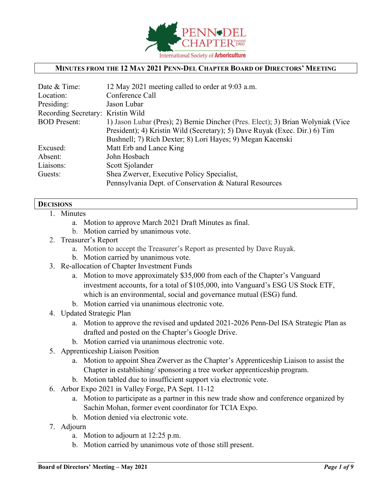

#### **MINUTES FROM THE 12 MAY 2021 PENN-DEL CHAPTER BOARD OF DIRECTORS' MEETING**

| 12 May 2021 meeting called to order at 9:03 a.m.                                |
|---------------------------------------------------------------------------------|
| Conference Call                                                                 |
| Jason Lubar                                                                     |
| Recording Secretary: Kristin Wild                                               |
| 1) Jason Lubar (Pres); 2) Bernie Dincher (Pres. Elect); 3) Brian Wolyniak (Vice |
| President); 4) Kristin Wild (Secretary); 5) Dave Ruyak (Exec. Dir.) 6) Tim      |
| Bushnell; 7) Rich Dexter; 8) Lori Hayes; 9) Megan Kacenski                      |
| Matt Erb and Lance King                                                         |
| John Hosbach                                                                    |
| Scott Sjolander                                                                 |
| Shea Zwerver, Executive Policy Specialist,                                      |
| Pennsylvania Dept. of Conservation & Natural Resources                          |
|                                                                                 |

#### **DECISIONS**

- 1. Minutes
	- a. Motion to approve March 2021 Draft Minutes as final.
	- b. Motion carried by unanimous vote.
- 2. Treasurer's Report
	- a. Motion to accept the Treasurer's Report as presented by Dave Ruyak.
	- b. Motion carried by unanimous vote.
- 3. Re-allocation of Chapter Investment Funds
	- a. Motion to move approximately \$35,000 from each of the Chapter's Vanguard investment accounts, for a total of \$105,000, into Vanguard's ESG US Stock ETF, which is an environmental, social and governance mutual (ESG) fund.
	- b. Motion carried via unanimous electronic vote.
- 4. Updated Strategic Plan
	- a. Motion to approve the revised and updated 2021-2026 Penn-Del ISA Strategic Plan as drafted and posted on the Chapter's Google Drive.
	- b. Motion carried via unanimous electronic vote.
- 5. Apprenticeship Liaison Position
	- a. Motion to appoint Shea Zwerver as the Chapter's Apprenticeship Liaison to assist the Chapter in establishing/ sponsoring a tree worker apprenticeship program.
	- b. Motion tabled due to insufficient support via electronic vote.
- 6. Arbor Expo 2021 in Valley Forge, PA Sept. 11-12
	- a. Motion to participate as a partner in this new trade show and conference organized by Sachin Mohan, former event coordinator for TCIA Expo.
	- b. Motion denied via electronic vote.
- 7. Adjourn
	- a. Motion to adjourn at 12:25 p.m.
	- b. Motion carried by unanimous vote of those still present.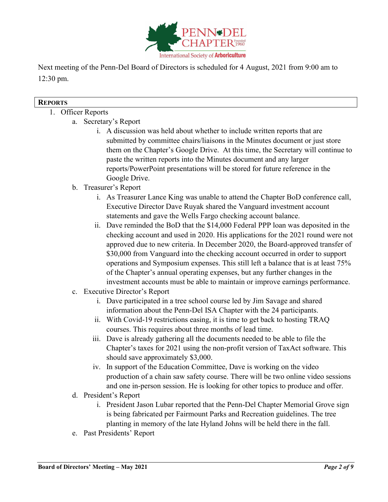

Next meeting of the Penn-Del Board of Directors is scheduled for 4 August, 2021 from 9:00 am to 12:30 pm.

#### **REPORTS**

### 1. Officer Reports

- a. Secretary's Report
	- i. A discussion was held about whether to include written reports that are submitted by committee chairs/liaisons in the Minutes document or just store them on the Chapter's Google Drive. At this time, the Secretary will continue to paste the written reports into the Minutes document and any larger reports/PowerPoint presentations will be stored for future reference in the Google Drive.
- b. Treasurer's Report
	- i. As Treasurer Lance King was unable to attend the Chapter BoD conference call, Executive Director Dave Ruyak shared the Vanguard investment account statements and gave the Wells Fargo checking account balance.
	- ii. Dave reminded the BoD that the \$14,000 Federal PPP loan was deposited in the checking account and used in 2020. His applications for the 2021 round were not approved due to new criteria. In December 2020, the Board-approved transfer of \$30,000 from Vanguard into the checking account occurred in order to support operations and Symposium expenses. This still left a balance that is at least 75% of the Chapter's annual operating expenses, but any further changes in the investment accounts must be able to maintain or improve earnings performance.
- c. Executive Director's Report
	- i. Dave participated in a tree school course led by Jim Savage and shared information about the Penn-Del ISA Chapter with the 24 participants.
	- ii. With Covid-19 restrictions easing, it is time to get back to hosting TRAQ courses. This requires about three months of lead time.
	- iii. Dave is already gathering all the documents needed to be able to file the Chapter's taxes for 2021 using the non-profit version of TaxAct software. This should save approximately \$3,000.
	- iv. In support of the Education Committee, Dave is working on the video production of a chain saw safety course. There will be two online video sessions and one in-person session. He is looking for other topics to produce and offer.
- d. President's Report
	- i. President Jason Lubar reported that the Penn-Del Chapter Memorial Grove sign is being fabricated per Fairmount Parks and Recreation guidelines. The tree planting in memory of the late Hyland Johns will be held there in the fall.
- e. Past Presidents' Report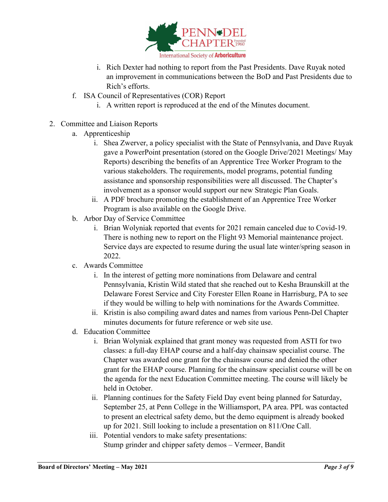

- i. Rich Dexter had nothing to report from the Past Presidents. Dave Ruyak noted an improvement in communications between the BoD and Past Presidents due to Rich's efforts.
- f. ISA Council of Representatives (COR) Report
	- i. A written report is reproduced at the end of the Minutes document.
- 2. Committee and Liaison Reports
	- a. Apprenticeship
		- i. Shea Zwerver, a policy specialist with the State of Pennsylvania, and Dave Ruyak gave a PowerPoint presentation (stored on the Google Drive/2021 Meetings/ May Reports) describing the benefits of an Apprentice Tree Worker Program to the various stakeholders. The requirements, model programs, potential funding assistance and sponsorship responsibilities were all discussed. The Chapter's involvement as a sponsor would support our new Strategic Plan Goals.
		- ii. A PDF brochure promoting the establishment of an Apprentice Tree Worker Program is also available on the Google Drive.
	- b. Arbor Day of Service Committee
		- i. Brian Wolyniak reported that events for 2021 remain canceled due to Covid-19. There is nothing new to report on the Flight 93 Memorial maintenance project. Service days are expected to resume during the usual late winter/spring season in 2022.
	- c. Awards Committee
		- i. In the interest of getting more nominations from Delaware and central Pennsylvania, Kristin Wild stated that she reached out to Kesha Braunskill at the Delaware Forest Service and City Forester Ellen Roane in Harrisburg, PA to see if they would be willing to help with nominations for the Awards Committee.
		- ii. Kristin is also compiling award dates and names from various Penn-Del Chapter minutes documents for future reference or web site use.
	- d. Education Committee
		- i. Brian Wolyniak explained that grant money was requested from ASTI for two classes: a full-day EHAP course and a half-day chainsaw specialist course. The Chapter was awarded one grant for the chainsaw course and denied the other grant for the EHAP course. Planning for the chainsaw specialist course will be on the agenda for the next Education Committee meeting. The course will likely be held in October.
		- ii. Planning continues for the Safety Field Day event being planned for Saturday, September 25, at Penn College in the Williamsport, PA area. PPL was contacted to present an electrical safety demo, but the demo equipment is already booked up for 2021. Still looking to include a presentation on 811/One Call.
		- iii. Potential vendors to make safety presentations: Stump grinder and chipper safety demos – Vermeer, Bandit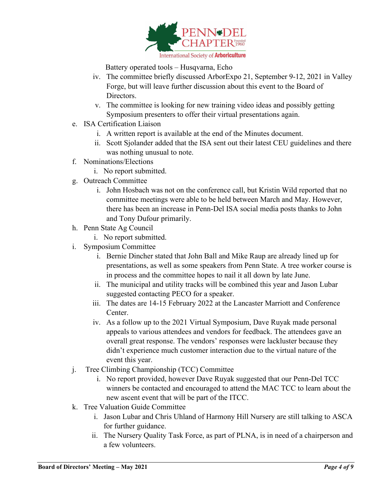

Battery operated tools – Husqvarna, Echo

- iv. The committee briefly discussed ArborExpo 21, September 9-12, 2021 in Valley Forge, but will leave further discussion about this event to the Board of Directors.
- v. The committee is looking for new training video ideas and possibly getting Symposium presenters to offer their virtual presentations again.
- e. ISA Certification Liaison
	- i. A written report is available at the end of the Minutes document.
	- ii. Scott Sjolander added that the ISA sent out their latest CEU guidelines and there was nothing unusual to note.
- f. Nominations/Elections
	- i. No report submitted.
- g. Outreach Committee
	- i. John Hosbach was not on the conference call, but Kristin Wild reported that no committee meetings were able to be held between March and May. However, there has been an increase in Penn-Del ISA social media posts thanks to John and Tony Dufour primarily.
- h. Penn State Ag Council
	- i. No report submitted.
- i. Symposium Committee
	- i. Bernie Dincher stated that John Ball and Mike Raup are already lined up for presentations, as well as some speakers from Penn State. A tree worker course is in process and the committee hopes to nail it all down by late June.
	- ii. The municipal and utility tracks will be combined this year and Jason Lubar suggested contacting PECO for a speaker.
	- iii. The dates are 14-15 February 2022 at the Lancaster Marriott and Conference Center.
	- iv. As a follow up to the 2021 Virtual Symposium, Dave Ruyak made personal appeals to various attendees and vendors for feedback. The attendees gave an overall great response. The vendors' responses were lackluster because they didn't experience much customer interaction due to the virtual nature of the event this year.
- j. Tree Climbing Championship (TCC) Committee
	- i. No report provided, however Dave Ruyak suggested that our Penn-Del TCC winners be contacted and encouraged to attend the MAC TCC to learn about the new ascent event that will be part of the ITCC.
- k. Tree Valuation Guide Committee
	- i. Jason Lubar and Chris Uhland of Harmony Hill Nursery are still talking to ASCA for further guidance.
	- ii. The Nursery Quality Task Force, as part of PLNA, is in need of a chairperson and a few volunteers.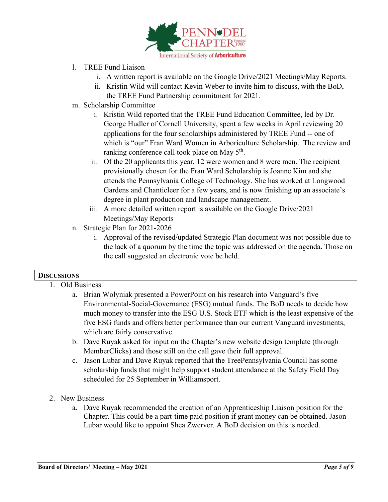

- l. TREE Fund Liaison
	- i. A written report is available on the Google Drive/2021 Meetings/May Reports.
	- ii. Kristin Wild will contact Kevin Weber to invite him to discuss, with the BoD, the TREE Fund Partnership commitment for 2021.
- m. Scholarship Committee
	- i. Kristin Wild reported that the TREE Fund Education Committee, led by Dr. George Hudler of Cornell University, spent a few weeks in April reviewing 20 applications for the four scholarships administered by TREE Fund -- one of which is "our" Fran Ward Women in Arboriculture Scholarship. The review and ranking conference call took place on May  $5<sup>th</sup>$ .
	- ii. Of the 20 applicants this year, 12 were women and 8 were men. The recipient provisionally chosen for the Fran Ward Scholarship is Joanne Kim and she attends the Pennsylvania College of Technology. She has worked at Longwood Gardens and Chanticleer for a few years, and is now finishing up an associate's degree in plant production and landscape management.
	- iii. A more detailed written report is available on the Google Drive/2021 Meetings/May Reports
- n. Strategic Plan for 2021-2026
	- i. Approval of the revised/updated Strategic Plan document was not possible due to the lack of a quorum by the time the topic was addressed on the agenda. Those on the call suggested an electronic vote be held.

## **DISCUSSIONS**

- 1. Old Business
	- a. Brian Wolyniak presented a PowerPoint on his research into Vanguard's five Environmental-Social-Governance (ESG) mutual funds. The BoD needs to decide how much money to transfer into the ESG U.S. Stock ETF which is the least expensive of the five ESG funds and offers better performance than our current Vanguard investments, which are fairly conservative.
	- b. Dave Ruyak asked for input on the Chapter's new website design template (through MemberClicks) and those still on the call gave their full approval.
	- c. Jason Lubar and Dave Ruyak reported that the TreePennsylvania Council has some scholarship funds that might help support student attendance at the Safety Field Day scheduled for 25 September in Williamsport.
- 2. New Business
	- a. Dave Ruyak recommended the creation of an Apprenticeship Liaison position for the Chapter. This could be a part-time paid position if grant money can be obtained. Jason Lubar would like to appoint Shea Zwerver. A BoD decision on this is needed.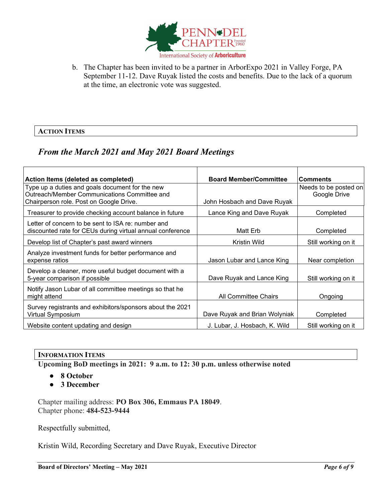

b. The Chapter has been invited to be a partner in ArborExpo 2021 in Valley Forge, PA September 11-12. Dave Ruyak listed the costs and benefits. Due to the lack of a quorum at the time, an electronic vote was suggested.

#### **ACTION ITEMS**

# *From the March 2021 and May 2021 Board Meetings*

| Action Items (deleted as completed)                                                                             | <b>Board Member/Committee</b> | <b>Comments</b>       |
|-----------------------------------------------------------------------------------------------------------------|-------------------------------|-----------------------|
| Type up a duties and goals document for the new                                                                 |                               | Needs to be posted on |
| Outreach/Member Communications Committee and                                                                    |                               | Google Drive          |
| Chairperson role. Post on Google Drive.                                                                         | John Hosbach and Dave Ruyak   |                       |
| Treasurer to provide checking account balance in future                                                         | Lance King and Dave Ruyak     | Completed             |
| Letter of concern to be sent to ISA re: number and<br>discounted rate for CEUs during virtual annual conference | Matt Erb                      | Completed             |
| Develop list of Chapter's past award winners                                                                    | Kristin Wild                  | Still working on it   |
| Analyze investment funds for better performance and<br>expense ratios                                           | Jason Lubar and Lance King    | Near completion       |
| Develop a cleaner, more useful budget document with a<br>5-year comparison if possible                          | Dave Ruyak and Lance King     | Still working on it   |
| Notify Jason Lubar of all committee meetings so that he<br>might attend                                         | All Committee Chairs          | Ongoing               |
| Survey registrants and exhibitors/sponsors about the 2021<br>Virtual Symposium                                  | Dave Ruyak and Brian Wolyniak | Completed             |
| Website content updating and design                                                                             | J. Lubar, J. Hosbach, K. Wild | Still working on it   |

#### **INFORMATION ITEMS**

**Upcoming BoD meetings in 2021: 9 a.m. to 12: 30 p.m. unless otherwise noted**

- **8 October**
- **3 December**

Chapter mailing address: **PO Box 306, Emmaus PA 18049**. Chapter phone: **484-523-9444**

Respectfully submitted,

Kristin Wild, Recording Secretary and Dave Ruyak, Executive Director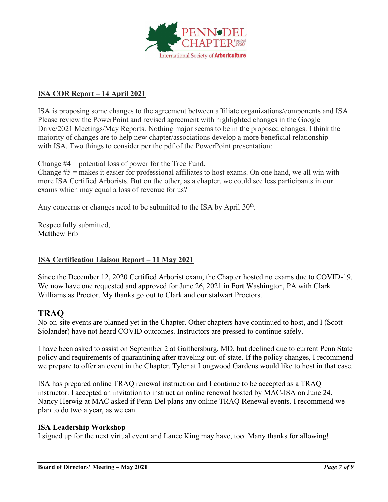

## **ISA COR Report – 14 April 2021**

ISA is proposing some changes to the agreement between affiliate organizations/components and ISA. Please review the PowerPoint and revised agreement with highlighted changes in the Google Drive/2021 Meetings/May Reports. Nothing major seems to be in the proposed changes. I think the majority of changes are to help new chapter/associations develop a more beneficial relationship with ISA. Two things to consider per the pdf of the PowerPoint presentation:

Change #4 = potential loss of power for the Tree Fund.

Change #5 = makes it easier for professional affiliates to host exams. On one hand, we all win with more ISA Certified Arborists. But on the other, as a chapter, we could see less participants in our exams which may equal a loss of revenue for us?

Any concerns or changes need to be submitted to the ISA by April  $30<sup>th</sup>$ .

Respectfully submitted, Matthew Erb

## **ISA Certification Liaison Report – 11 May 2021**

Since the December 12, 2020 Certified Arborist exam, the Chapter hosted no exams due to COVID-19. We now have one requested and approved for June 26, 2021 in Fort Washington, PA with Clark Williams as Proctor. My thanks go out to Clark and our stalwart Proctors.

# **TRAQ**

No on-site events are planned yet in the Chapter. Other chapters have continued to host, and I (Scott Sjolander) have not heard COVID outcomes. Instructors are pressed to continue safely.

I have been asked to assist on September 2 at Gaithersburg, MD, but declined due to current Penn State policy and requirements of quarantining after traveling out-of-state. If the policy changes, I recommend we prepare to offer an event in the Chapter. Tyler at Longwood Gardens would like to host in that case.

ISA has prepared online TRAQ renewal instruction and I continue to be accepted as a TRAQ instructor. I accepted an invitation to instruct an online renewal hosted by MAC-ISA on June 24. Nancy Herwig at MAC asked if Penn-Del plans any online TRAQ Renewal events. I recommend we plan to do two a year, as we can.

#### **ISA Leadership Workshop**

I signed up for the next virtual event and Lance King may have, too. Many thanks for allowing!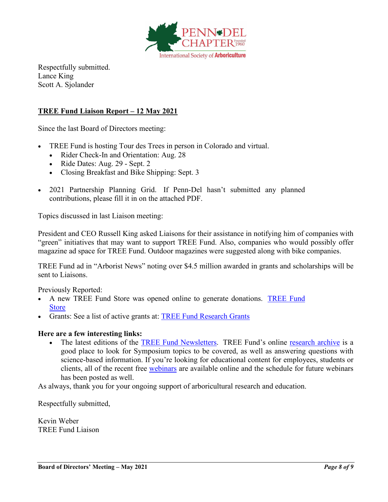

Respectfully submitted. Lance King Scott A. Sjolander

## **TREE Fund Liaison Report – 12 May 2021**

Since the last Board of Directors meeting:

- TREE Fund is hosting Tour des Trees in person in Colorado and virtual.
	- Rider Check-In and Orientation: Aug. 28
	- Ride Dates: Aug. 29 Sept. 2
	- Closing Breakfast and Bike Shipping: Sept. 3
- 2021 Partnership Planning Grid. If Penn-Del hasn't submitted any planned contributions, please fill it in on the attached PDF.

Topics discussed in last Liaison meeting:

President and CEO Russell King asked Liaisons for their assistance in notifying him of companies with "green" initiatives that may want to support TREE Fund. Also, companies who would possibly offer magazine ad space for TREE Fund. Outdoor magazines were suggested along with bike companies.

TREE Fund ad in "Arborist News" noting over \$4.5 million awarded in grants and scholarships will be sent to Liaisons.

Previously Reported:

- A new TREE Fund Store was opened online to generate donations. [TREE Fund](https://treefund-299483.square.site/)  [Store](https://treefund-299483.square.site/)
- Grants: See a list of active grants at: [TREE Fund Research Grants](https://treefund.org/researchgrants)

#### **Here are a few interesting links:**

The latest editions of the [TREE Fund Newsletters.](https://treefund.org/newsletter) TREE Fund's online [research archive](https://www.treefund.org/researcharchive) is a good place to look for Symposium topics to be covered, as well as answering questions with science-based information. If you're looking for educational content for employees, students or clients, all of the recent free [webinars](https://www.treefund.org/webinars) are available online and the schedule for future webinars has been posted as well.

As always, thank you for your ongoing support of arboricultural research and education.

Respectfully submitted,

Kevin Weber TREE Fund Liaison